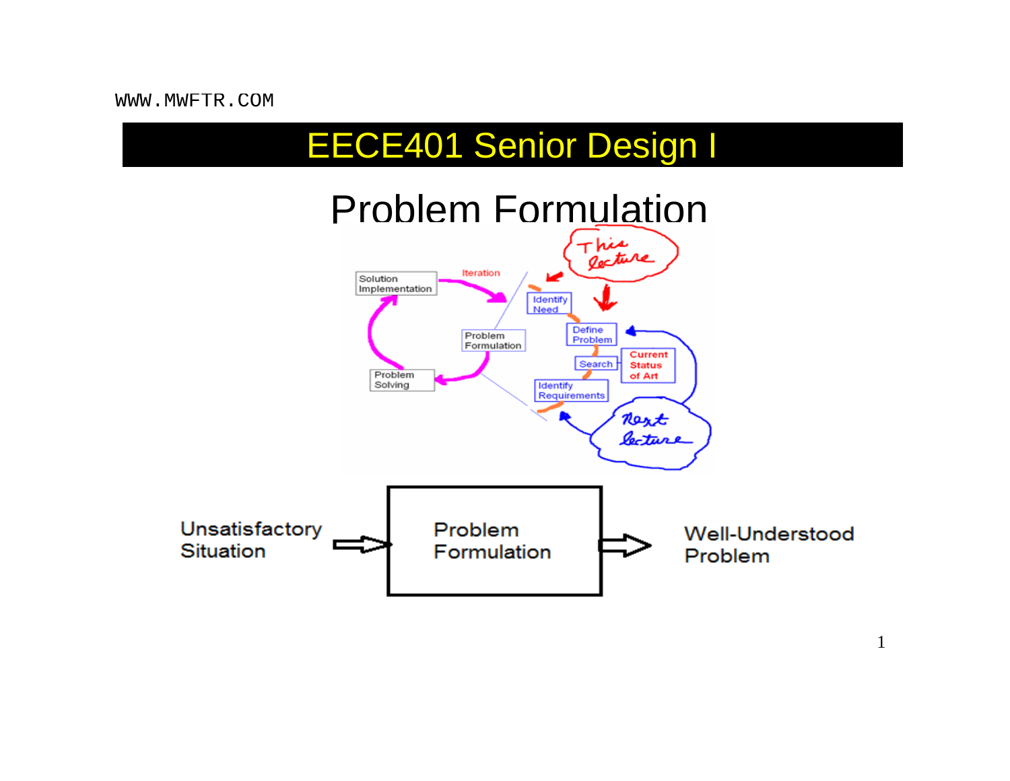## EECE401 Senior Design I



1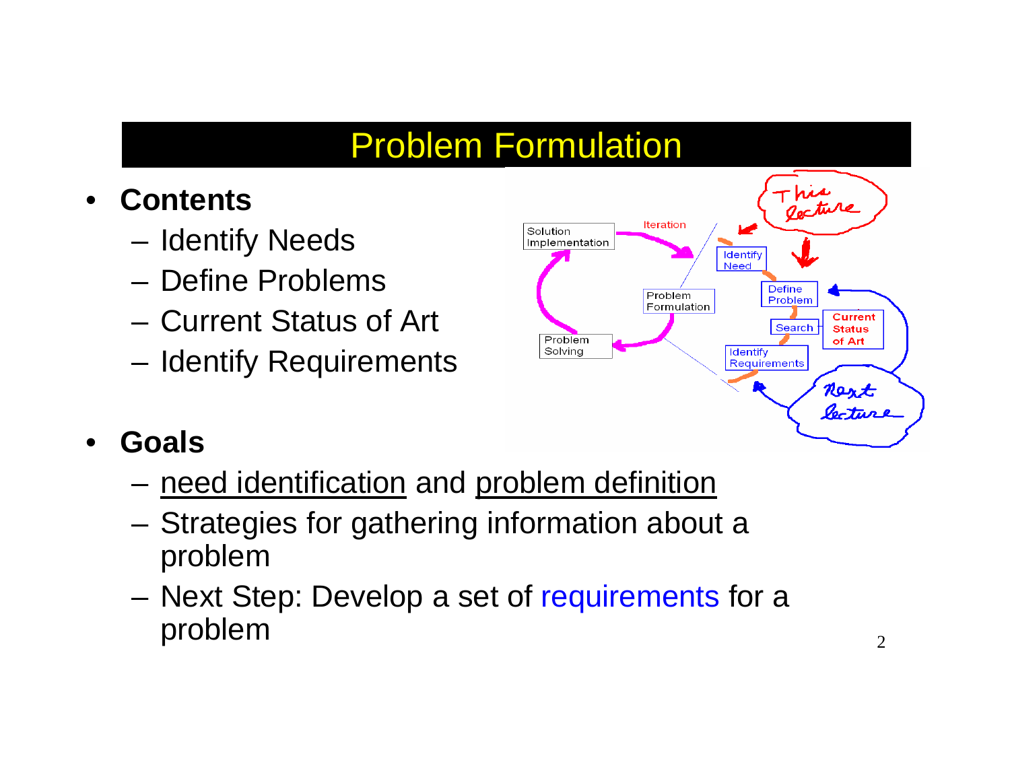## Problem Formulation

- $\bullet$  **Contents**
	- –Identify Needs
	- Define Problems
	- Current Status of Art
	- Identify Requirements



- $\bullet$  **Goals**
	- need identification and problem definition
	- Strategies for gathering information about a problem
	- Next Step: Develop a set of requirements for a problem 2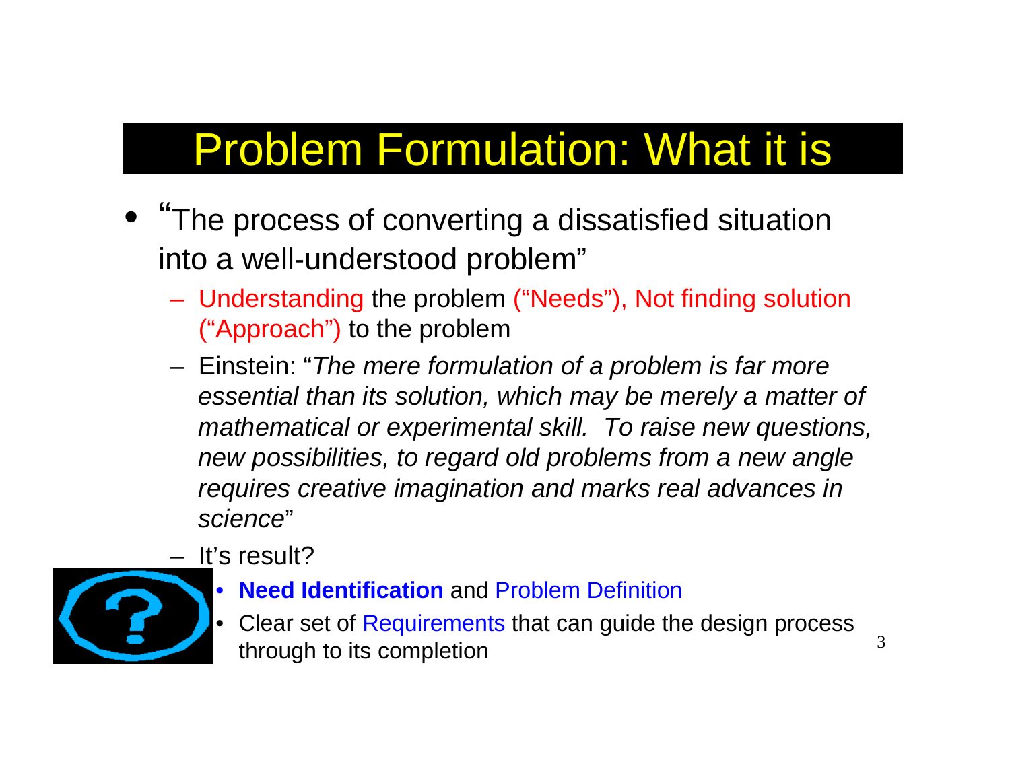# Problem Formulation: What it is

- "The process of converting a dissatisfied situation into a well-understood problem"
	- Understanding the problem ("Needs"), Not finding solution ("Approach") to the problem
	- Einstein: "*The mere formulation of a problem is far more essential than its solution, which may be merely a matter of mathematical or experimental skill. To raise new questions, new possibilities, to regard old problems from a new angle requires creative imagination and marks real advances in science*"
	- It's result?



- **Need Identification** and Problem Definition
- • Clear set of Requirements that can guide the design process through to its completion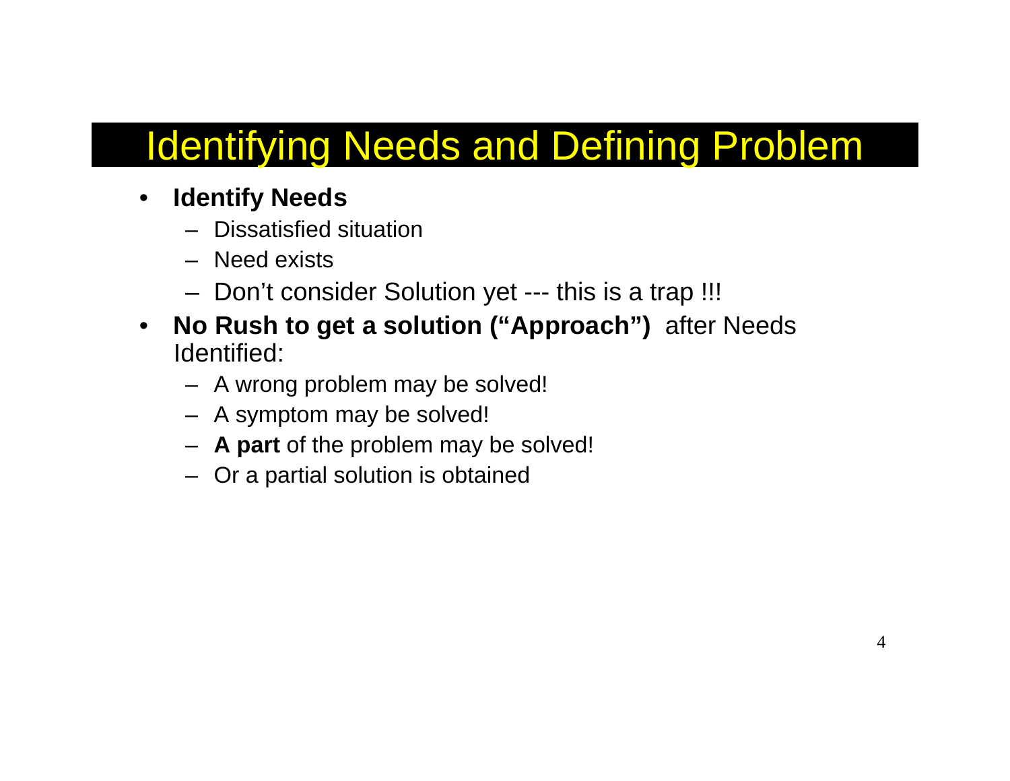# Identifying Needs and Defining Problem

- $\bullet$  **Identify Needs**
	- Dissatisfied situation
	- Need exists
	- Don't consider Solution yet --- this is a trap !!!
- $\bullet$  **No Rush to get a solution ("Approach")** after Needs Identified:
	- A wrong problem may be solved!
	- A symptom may be solved!
	- **A part** of the problem may be solved!
	- Or a partial solution is obtained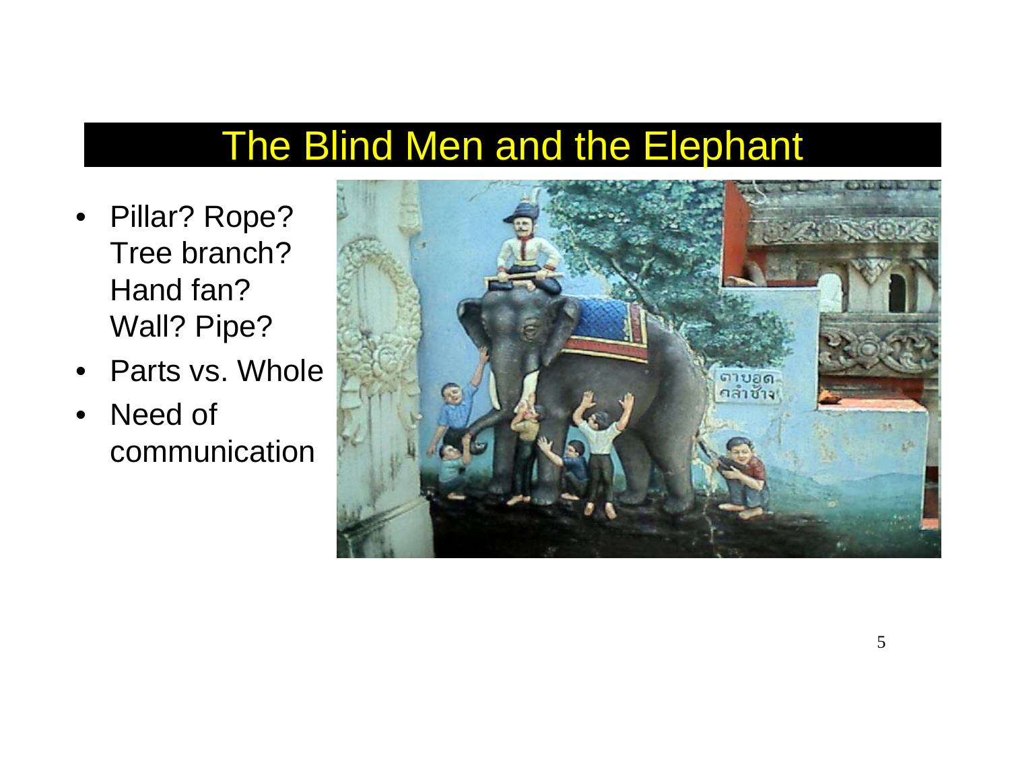# The Blind Men and the Elephant

- Pillar? Rope? Tree branch? Hand fan? Wall? Pipe?
- •Parts vs. Whole
- • Need of communication

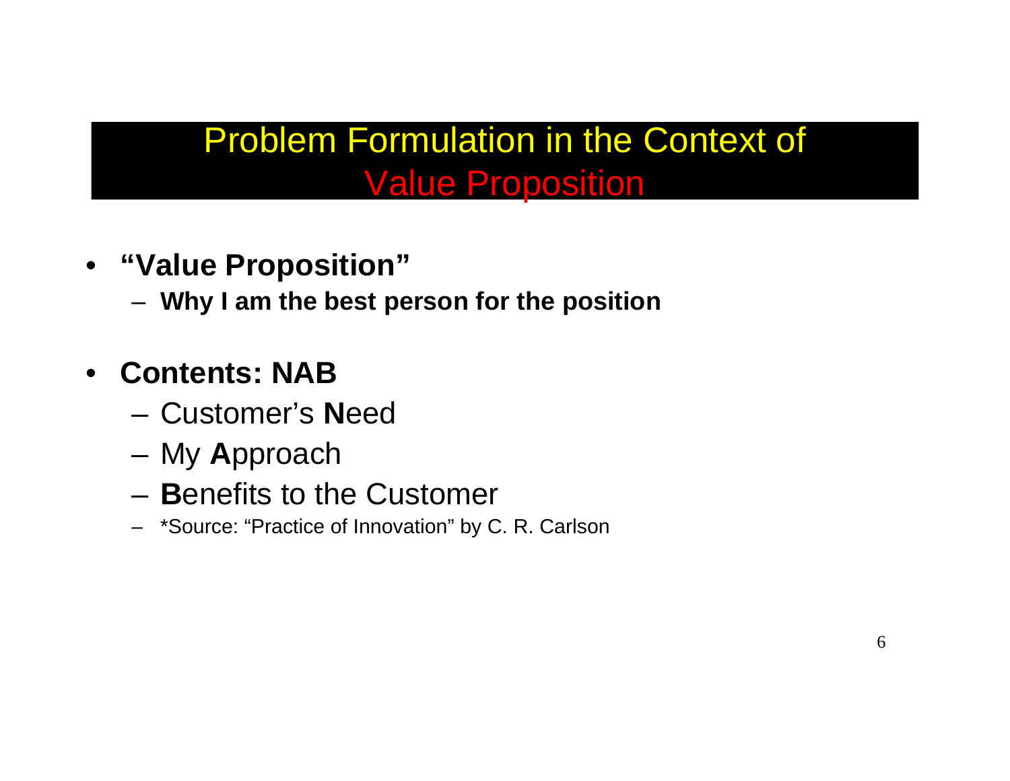#### Problem Formulation in the Context of Value Proposition

- **"Value Proposition"**
	- **Why I am the best person for the position**
- $\bullet$  **Contents: NAB**
	- Customer's **N**eed
	- –My **A**pproach
	- –**B**enefits to the Customer
	- \*Source: "Practice of Innovation" by C. R. Carlson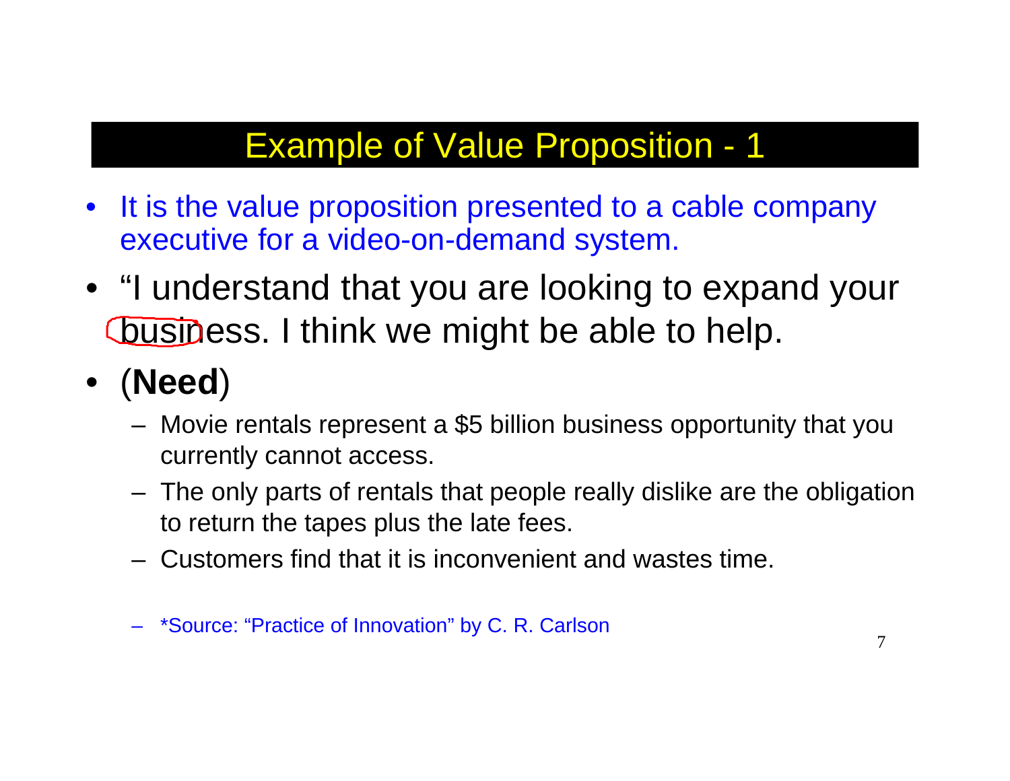- $\bullet$  It is the value proposition presented to a cable company executive for a video-on-demand system.
- "I understand that you are looking to expand your business. I think we might be able to help.
- (**Need**)
	- Movie rentals represent a \$5 billion business opportunity that you currently cannot access.
	- The only parts of rentals that people really dislike are the obligation to return the tapes plus the late fees.
	- Customers find that it is inconvenient and wastes time.

<sup>–</sup> \*Source: "Practice of Innovation" by C. R. Carlson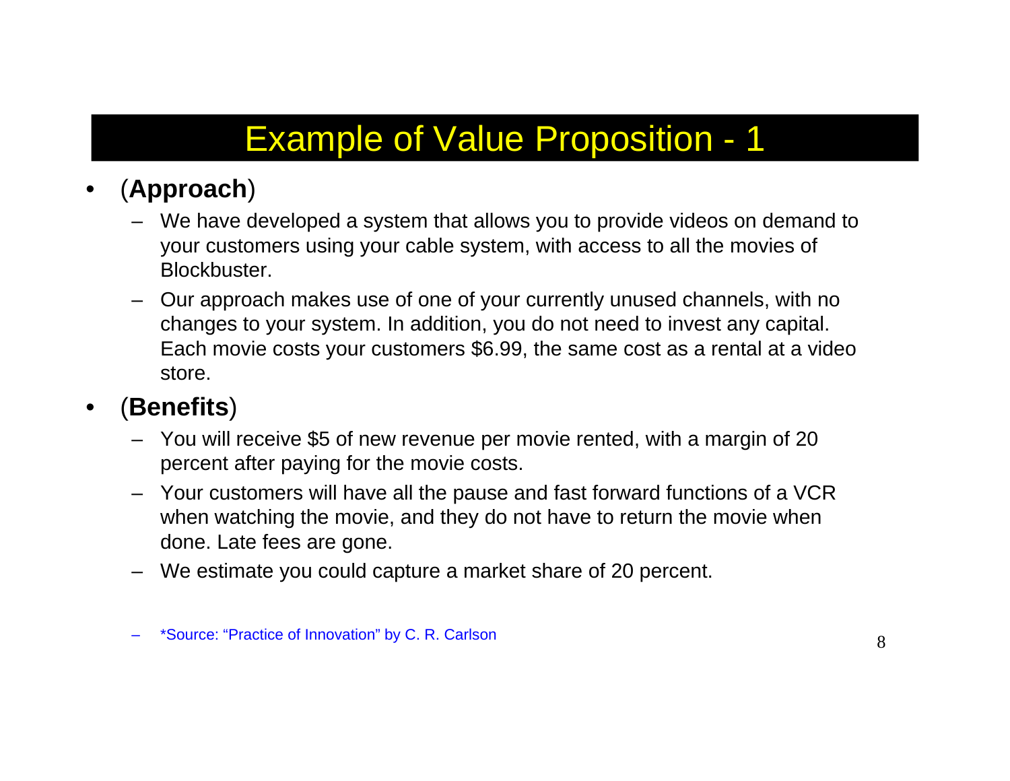#### •(**Approach**)

- We have developed a system that allows you to provide videos on demand to your customers using your cable system, with access to all the movies of Blockbuster.
- – Our approach makes use of one of your currently unused channels, with no changes to your system. In addition, you do not need to invest any capital. Each movie costs your customers \$6.99, the same cost as a rental at a video store.

#### $\bullet$ (**Benefits**)

- You will receive \$5 of new revenue per movie rented, with a margin of 20 percent after paying for the movie costs.
- Your customers will have all the pause and fast forward functions of a VCR when watching the movie, and they do not have to return the movie when done. Late fees are gone.
- We estimate you could capture a market share of 20 percent.

\*Source: "Practice of Innovation" by C. R. Carlson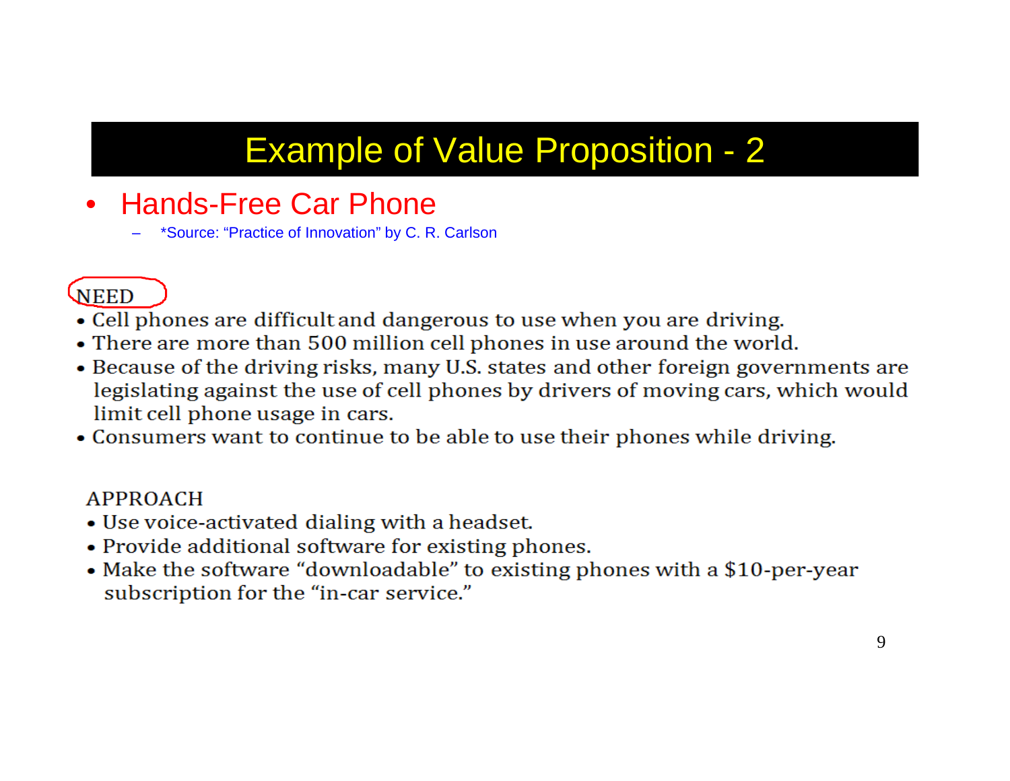- Hands-Free Car Phone
	- \*Source: "Practice of Innovation" by C. R. Carlson

#### **NEED**

- Cell phones are difficult and dangerous to use when you are driving.
- There are more than 500 million cell phones in use around the world.
- Because of the driving risks, many U.S. states and other foreign governments are legislating against the use of cell phones by drivers of moving cars, which would limit cell phone usage in cars.
- Consumers want to continue to be able to use their phones while driving.

#### **APPROACH**

- Use voice-activated dialing with a headset.
- Provide additional software for existing phones.
- Make the software "downloadable" to existing phones with a \$10-per-year subscription for the "in-car service."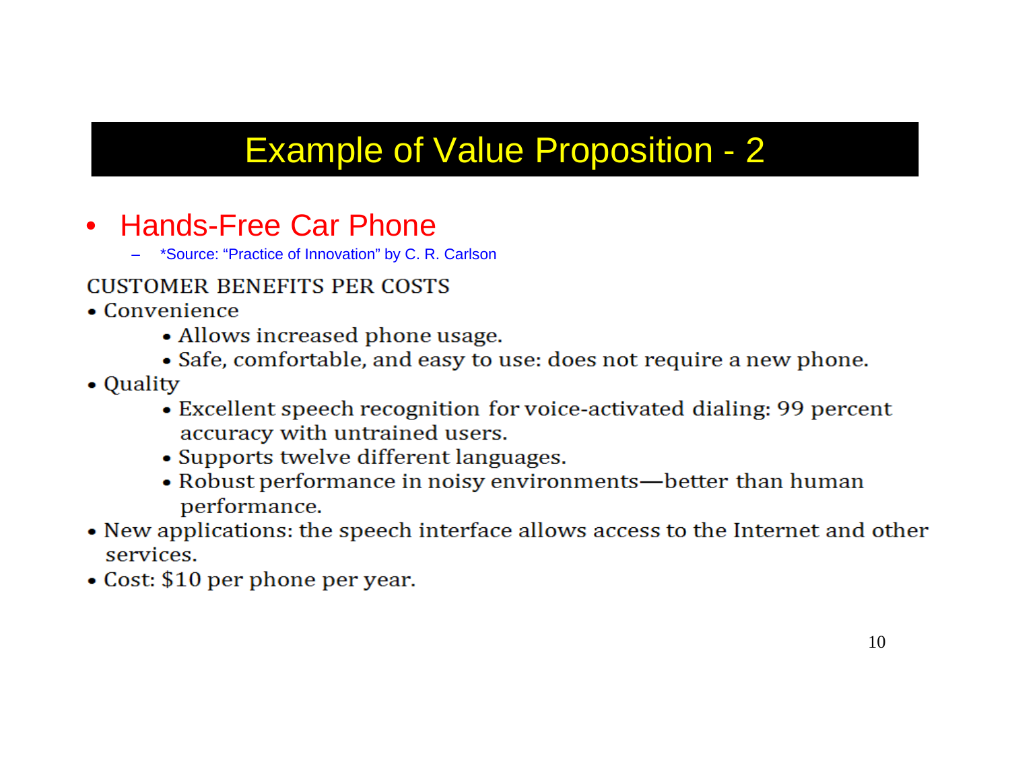- Hands-Free Car Phone
	- \*Source: "Practice of Innovation" by C. R. Carlson

#### **CUSTOMER BENEFITS PER COSTS**

- $\bullet$  Convenience
	- Allows increased phone usage.
	- Safe, comfortable, and easy to use: does not require a new phone.
- Quality
	- Excellent speech recognition for voice-activated dialing: 99 percent accuracy with untrained users.
	- Supports twelve different languages.
	- Robust performance in noisy environments—better than human performance.
- New applications: the speech interface allows access to the Internet and other services.
- Cost: \$10 per phone per year.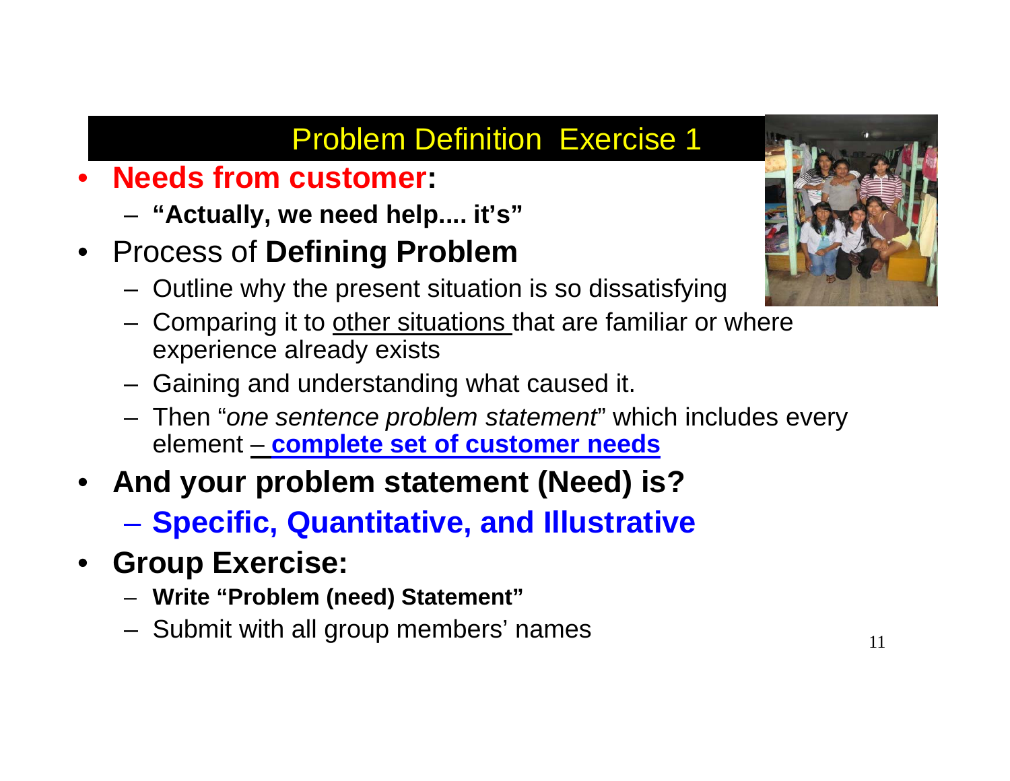#### Problem Definition Exercise 1

- • **Needs from customer:** 
	- **"Actually, we need help.... it's"**
- $\bullet$  Process of **Defining Problem**
	- Outline why the present situation is so dissatisfying
	- Comparing it to other situations that are familiar or where experience already exists
	- Gaining and understanding what caused it.
	- Then "*one sentence problem statement*" which includes every element – **complete set of customer needs**
- • **And your problem statement (Need) is?**
	- **Specific, Quantitative, and Illustrative**
- **Group Exercise:** 
	- **Write "Problem (need) Statement"**
	- Submit with all group members' names  $11$

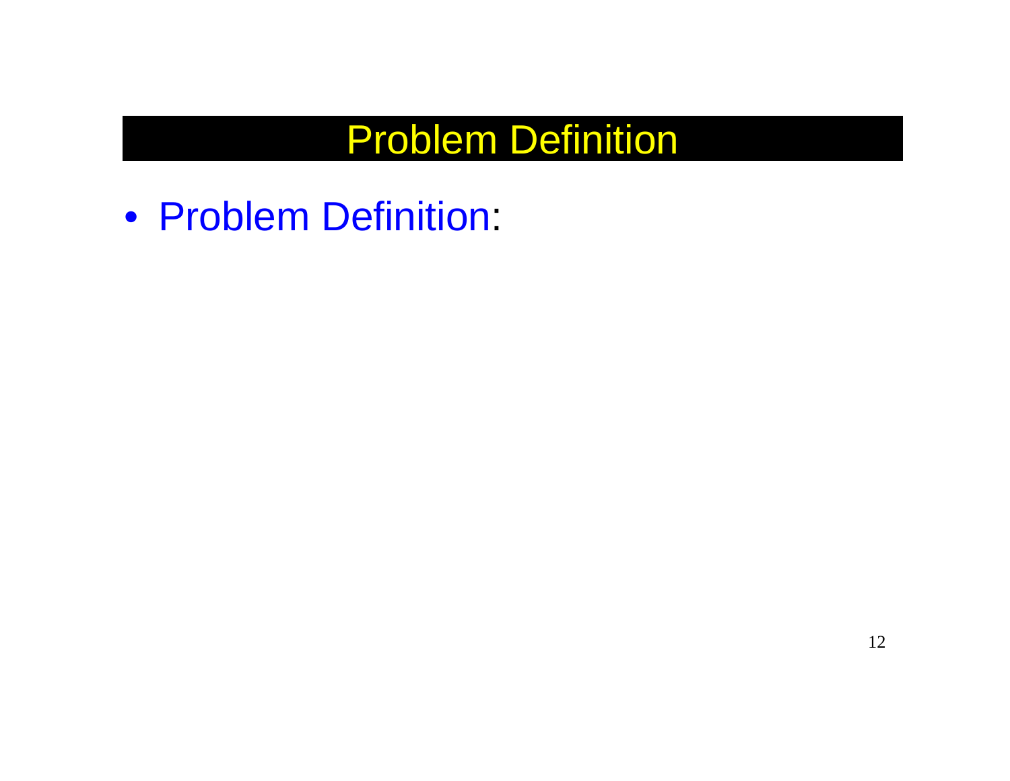# Problem Definition

• Problem Definition: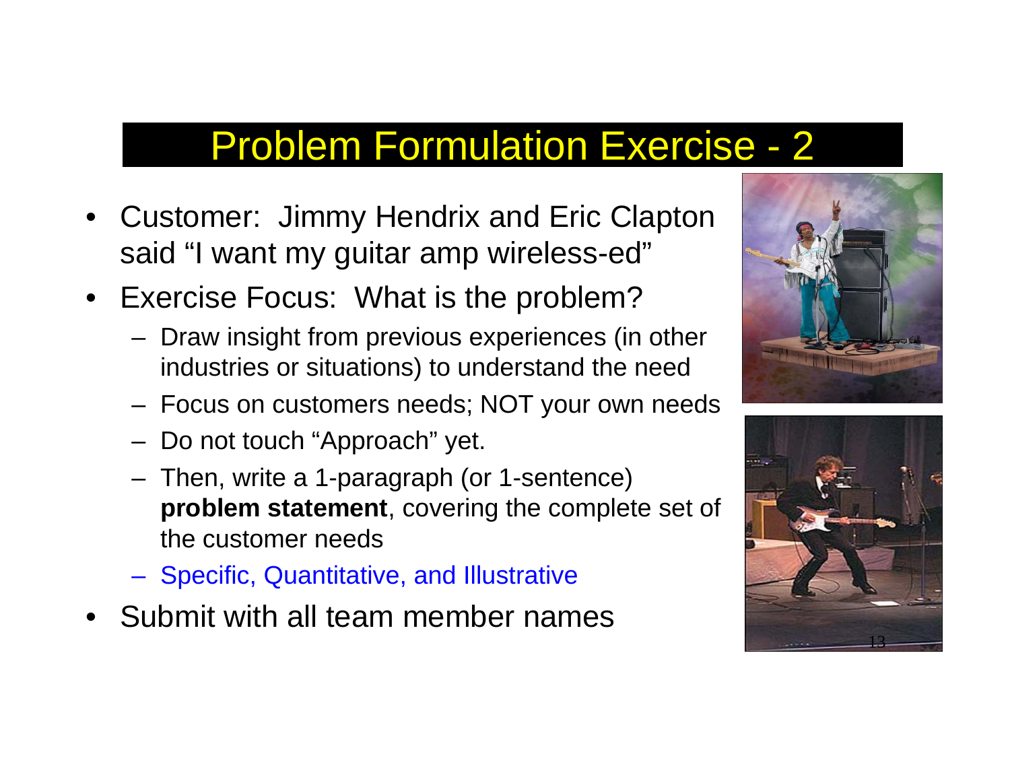## Problem Formulation Exercise - 2

- Customer: Jimmy Hendrix and Eric Clapton said "I want my guitar amp wireless-ed"
- Exercise Focus: What is the problem?
	- Draw insight from previous experiences (in other industries or situations) to understand the need
	- Focus on customers needs; NOT your own needs
	- Do not touch "Approach" yet.
	- Then, write a 1-paragraph (or 1-sentence) **problem statement**, covering the complete set of the customer needs
	- Specific, Quantitative, and Illustrative
- Submit with all team member names